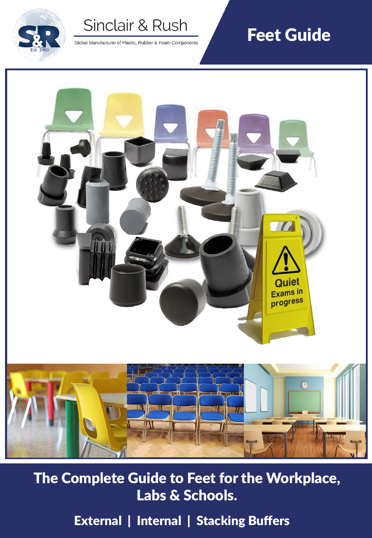

Global Manufacturer of Plastic, Rubber & Foam Components

# Feet Guide



The Complete Guide to Feet for the Workplace, Labs & Schools.

External | Internal | Stacking Buffers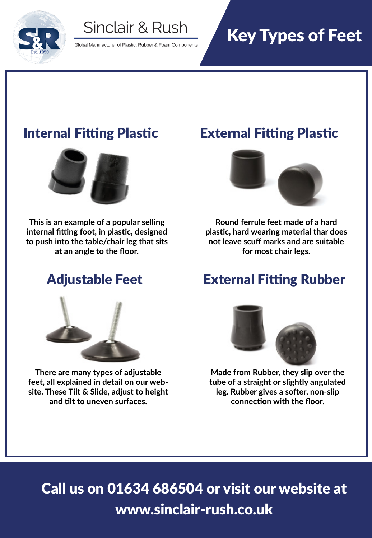

Global Manufacturer of Plastic, Rubber & Foam Components

# Key Types of Feet



**This is an example of a popular selling internal fitting foot, in plastic, designed to push into the table/chair leg that sits at an angle to the floor.**



**There are many types of adjustable feet, all explained in detail on our website. These Tilt & Slide, adjust to height and tilt to uneven surfaces.**

## Internal Fitting Plastic External Fitting Plastic



**Round ferrule feet made of a hard plastic, hard wearing material thar does not leave scuff marks and are suitable for most chair legs.**

### Adjustable Feet External Fitting Rubber



**Made from Rubber, they slip over the tube of a straight or slightly angulated leg. Rubber gives a softer, non-slip connection with the floor.** 

Call us on 01634 686504 or visit our website at www.sinclair-rush.co.uk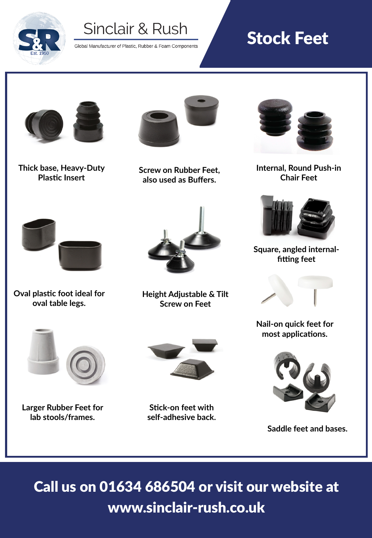

Global Manufacturer of Plastic, Rubber & Foam Components

# Stock Feet



**Thick base, Heavy-Duty Plastic Insert**



**Screw on Rubber Feet, also used as Buffers.**



**Internal, Round Push-in Chair Feet**



**Square, angled internalfitting feet**



**Nail-on quick feet for most applications.**



**Saddle feet and bases.**

Call us on 01634 686504 or visit our website at www.sinclair-rush.co.uk



**Oval plastic foot ideal for oval table legs.**



**Height Adjustable & Tilt Screw on Feet**



**Larger Rubber Feet for lab stools/frames.**



**Stick-on feet with self-adhesive back.**